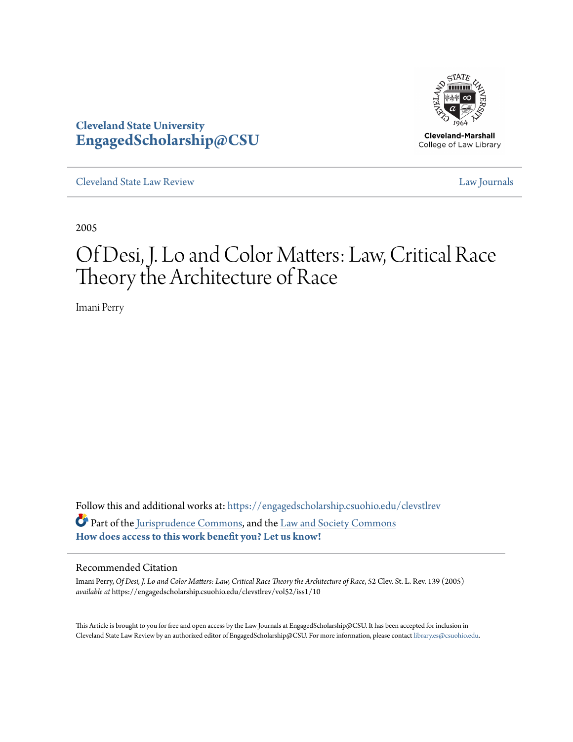

**Cleveland-Marshall** College of Law Library

[Cleveland State Law Review](https://engagedscholarship.csuohio.edu/clevstlrev?utm_source=engagedscholarship.csuohio.edu%2Fclevstlrev%2Fvol52%2Fiss1%2F10&utm_medium=PDF&utm_campaign=PDFCoverPages) [Law Journals](https://engagedscholarship.csuohio.edu/lawjournals?utm_source=engagedscholarship.csuohio.edu%2Fclevstlrev%2Fvol52%2Fiss1%2F10&utm_medium=PDF&utm_campaign=PDFCoverPages)

**Cleveland State University**

**[EngagedScholarship@CSU](https://engagedscholarship.csuohio.edu?utm_source=engagedscholarship.csuohio.edu%2Fclevstlrev%2Fvol52%2Fiss1%2F10&utm_medium=PDF&utm_campaign=PDFCoverPages)**

2005

# Of Desi, J. Lo and Color Matters: Law, Critical Race Theory the Architecture of Race

Imani Perry

Follow this and additional works at: [https://engagedscholarship.csuohio.edu/clevstlrev](https://engagedscholarship.csuohio.edu/clevstlrev?utm_source=engagedscholarship.csuohio.edu%2Fclevstlrev%2Fvol52%2Fiss1%2F10&utm_medium=PDF&utm_campaign=PDFCoverPages) Part of the [Jurisprudence Commons,](http://network.bepress.com/hgg/discipline/610?utm_source=engagedscholarship.csuohio.edu%2Fclevstlrev%2Fvol52%2Fiss1%2F10&utm_medium=PDF&utm_campaign=PDFCoverPages) and the [Law and Society Commons](http://network.bepress.com/hgg/discipline/853?utm_source=engagedscholarship.csuohio.edu%2Fclevstlrev%2Fvol52%2Fiss1%2F10&utm_medium=PDF&utm_campaign=PDFCoverPages) **[How does access to this work benefit you? Let us know!](http://library.csuohio.edu/engaged/)**

# Recommended Citation

Imani Perry, *Of Desi, J. Lo and Color Matters: Law, Critical Race Theory the Architecture of Race*, 52 Clev. St. L. Rev. 139 (2005) *available at* https://engagedscholarship.csuohio.edu/clevstlrev/vol52/iss1/10

This Article is brought to you for free and open access by the Law Journals at EngagedScholarship@CSU. It has been accepted for inclusion in Cleveland State Law Review by an authorized editor of EngagedScholarship@CSU. For more information, please contact [library.es@csuohio.edu.](mailto:library.es@csuohio.edu)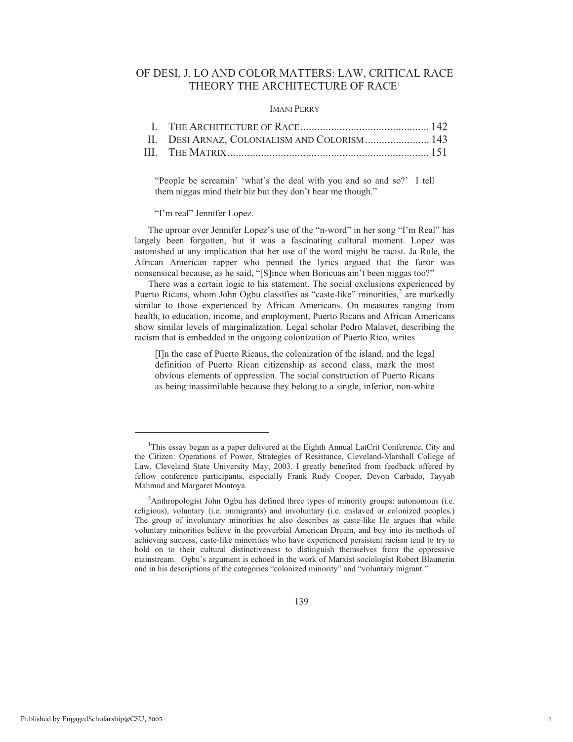# OF DESI, J. LO AND COLOR MATTERS: LAW, CRITICAL RACE THEORY THE ARCHITECTURE OF RACE<sup>1</sup>

### IMANI PERRY

| II. DESI ARNAZ, COLONIALISM AND COLORISM 143 |  |
|----------------------------------------------|--|
|                                              |  |

"People be screamin' 'what's the deal with you and so and so?' I tell them niggas mind their biz but they don't hear me though."

#### "I'm real" Jennifer Lopez.

The uproar over Jennifer Lopez's use of the "n-word" in her song "I'm Real" has largely been forgotten, but it was a fascinating cultural moment. Lopez was astonished at any implication that her use of the word might be racist. Ja Rule, the African American rapper who penned the lyrics argued that the furor was nonsensical because, as he said, "[S]ince when Boricuas ain't been niggas too?"

There was a certain logic to his statement. The social exclusions experienced by Puerto Ricans, whom John Ogbu classifies as "caste-like" minorities,<sup>2</sup> are markedly similar to those experienced by African Americans. On measures ranging from health, to education, income, and employment, Puerto Ricans and African Americans show similar levels of marginalization. Legal scholar Pedro Malavet, describing the racism that is embedded in the ongoing colonization of Puerto Rico, writes

[I]n the case of Puerto Ricans, the colonization of the island, and the legal definition of Puerto Rican citizenship as second class, mark the most obvious elements of oppression. The social construction of Puerto Ricans as being inassimilable because they belong to a single, inferior, non-white

<sup>&</sup>lt;sup>1</sup>This essay began as a paper delivered at the Eighth Annual LatCrit Conference, City and the Citizen: Operations of Power, Strategies of Resistance, Cleveland-Marshall College of Law, Cleveland State University May, 2003. I greatly benefited from feedback offered by fellow conference participants, especially Frank Rudy Cooper, Devon Carbado, Tayyab Mahmud and Margaret Montoya.

<sup>&</sup>lt;sup>2</sup>Anthropologist John Ogbu has defined three types of minority groups: autonomous (i.e. religious), voluntary (i.e. immigrants) and involuntary (i.e. enslaved or colonized peoples.) The group of involuntary minorities he also describes as caste-like He argues that while voluntary minorities believe in the proverbial American Dream, and buy into its methods of achieving success, caste-like minorities who have experienced persistent racism tend to try to hold on to their cultural distinctiveness to distinguish themselves from the oppressive mainstream. Ogbu's argument is echoed in the work of Marxist sociologist Robert Blaunerin and in his descriptions of the categories "colonized minority" and "voluntary migrant."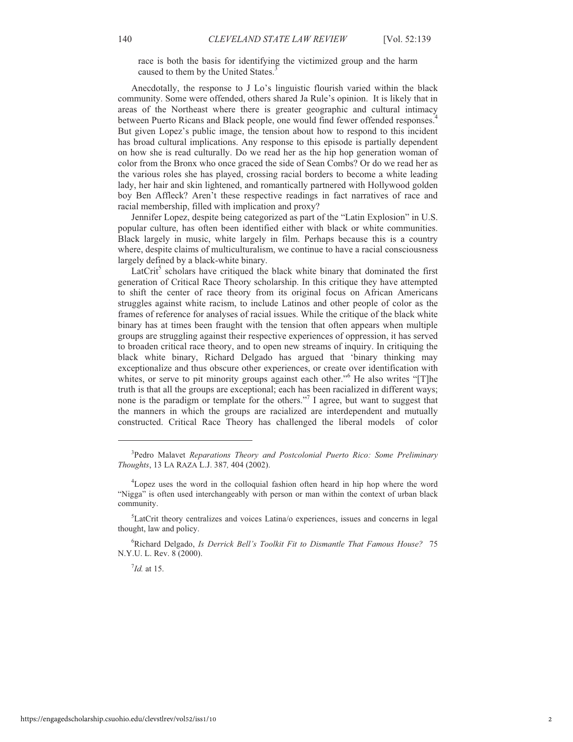race is both the basis for identifying the victimized group and the harm caused to them by the United States.<sup>3</sup>

Anecdotally, the response to J Lo's linguistic flourish varied within the black community. Some were offended, others shared Ja Rule's opinion. It is likely that in areas of the Northeast where there is greater geographic and cultural intimacy between Puerto Ricans and Black people, one would find fewer offended responses.<sup>4</sup> But given Lopez's public image, the tension about how to respond to this incident has broad cultural implications. Any response to this episode is partially dependent on how she is read culturally. Do we read her as the hip hop generation woman of color from the Bronx who once graced the side of Sean Combs? Or do we read her as the various roles she has played, crossing racial borders to become a white leading lady, her hair and skin lightened, and romantically partnered with Hollywood golden boy Ben Affleck? Aren't these respective readings in fact narratives of race and racial membership, filled with implication and proxy?

Jennifer Lopez, despite being categorized as part of the "Latin Explosion" in U.S. popular culture, has often been identified either with black or white communities. Black largely in music, white largely in film. Perhaps because this is a country where, despite claims of multiculturalism, we continue to have a racial consciousness largely defined by a black-white binary.

 $LatCrit<sup>5</sup>$  scholars have critiqued the black white binary that dominated the first generation of Critical Race Theory scholarship. In this critique they have attempted to shift the center of race theory from its original focus on African Americans struggles against white racism, to include Latinos and other people of color as the frames of reference for analyses of racial issues. While the critique of the black white binary has at times been fraught with the tension that often appears when multiple groups are struggling against their respective experiences of oppression, it has served to broaden critical race theory, and to open new streams of inquiry. In critiquing the black white binary, Richard Delgado has argued that 'binary thinking may exceptionalize and thus obscure other experiences, or create over identification with whites, or serve to pit minority groups against each other."<sup>6</sup> He also writes "[T]he truth is that all the groups are exceptional; each has been racialized in different ways; none is the paradigm or template for the others."<sup>7</sup> I agree, but want to suggest that the manners in which the groups are racialized are interdependent and mutually constructed. Critical Race Theory has challenged the liberal models of color

<sup>6</sup>Richard Delgado, *Is Derrick Bell's Toolkit Fit to Dismantle That Famous House?* 75 N.Y.U. L. Rev. 8 (2000).

7 *Id.* at 15.

<sup>3</sup> Pedro Malavet *Reparations Theory and Postcolonial Puerto Rico: Some Preliminary Thoughts*, 13 LA RAZA L.J. 387*,* 404 (2002).

<sup>4</sup>Lopez uses the word in the colloquial fashion often heard in hip hop where the word "Nigga" is often used interchangeably with person or man within the context of urban black community.

<sup>5</sup>LatCrit theory centralizes and voices Latina/o experiences, issues and concerns in legal thought, law and policy.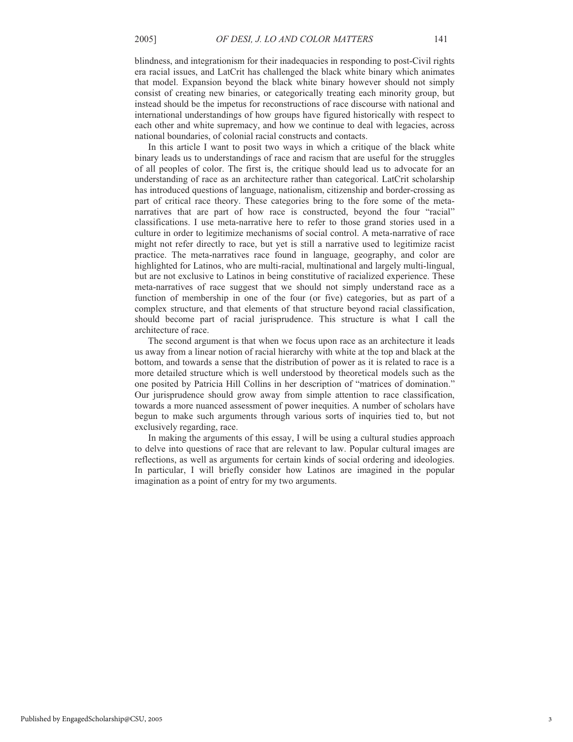blindness, and integrationism for their inadequacies in responding to post-Civil rights era racial issues, and LatCrit has challenged the black white binary which animates that model. Expansion beyond the black white binary however should not simply consist of creating new binaries, or categorically treating each minority group, but instead should be the impetus for reconstructions of race discourse with national and international understandings of how groups have figured historically with respect to each other and white supremacy, and how we continue to deal with legacies, across national boundaries, of colonial racial constructs and contacts.

In this article I want to posit two ways in which a critique of the black white binary leads us to understandings of race and racism that are useful for the struggles of all peoples of color. The first is, the critique should lead us to advocate for an understanding of race as an architecture rather than categorical. LatCrit scholarship has introduced questions of language, nationalism, citizenship and border-crossing as part of critical race theory. These categories bring to the fore some of the metanarratives that are part of how race is constructed, beyond the four "racial" classifications. I use meta-narrative here to refer to those grand stories used in a culture in order to legitimize mechanisms of social control. A meta-narrative of race might not refer directly to race, but yet is still a narrative used to legitimize racist practice. The meta-narratives race found in language, geography, and color are highlighted for Latinos, who are multi-racial, multinational and largely multi-lingual, but are not exclusive to Latinos in being constitutive of racialized experience. These meta-narratives of race suggest that we should not simply understand race as a function of membership in one of the four (or five) categories, but as part of a complex structure, and that elements of that structure beyond racial classification, should become part of racial jurisprudence. This structure is what I call the architecture of race.

The second argument is that when we focus upon race as an architecture it leads us away from a linear notion of racial hierarchy with white at the top and black at the bottom, and towards a sense that the distribution of power as it is related to race is a more detailed structure which is well understood by theoretical models such as the one posited by Patricia Hill Collins in her description of "matrices of domination." Our jurisprudence should grow away from simple attention to race classification, towards a more nuanced assessment of power inequities. A number of scholars have begun to make such arguments through various sorts of inquiries tied to, but not exclusively regarding, race.

In making the arguments of this essay, I will be using a cultural studies approach to delve into questions of race that are relevant to law. Popular cultural images are reflections, as well as arguments for certain kinds of social ordering and ideologies. In particular, I will briefly consider how Latinos are imagined in the popular imagination as a point of entry for my two arguments.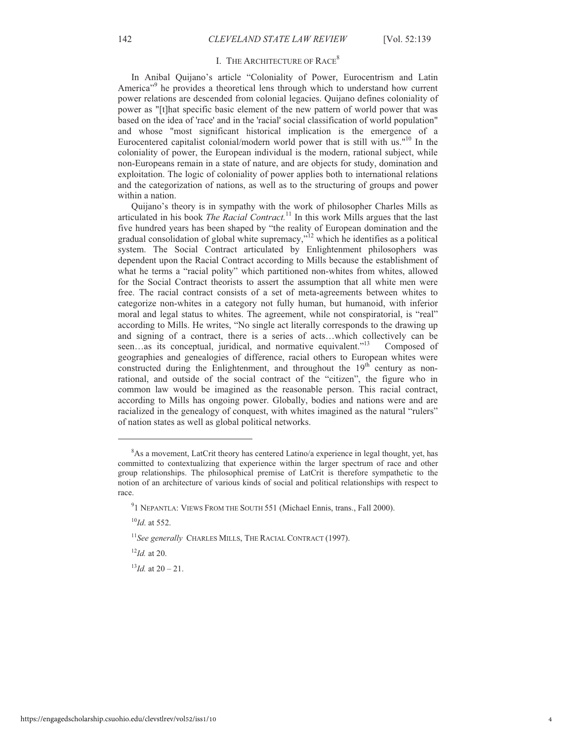## I. THE ARCHITECTURE OF RACE<sup>8</sup>

In Anibal Quijano's article "Coloniality of Power, Eurocentrism and Latin America<sup>"9</sup> he provides a theoretical lens through which to understand how current power relations are descended from colonial legacies. Quijano defines coloniality of power as "[t]hat specific basic element of the new pattern of world power that was based on the idea of 'race' and in the 'racial' social classification of world population" and whose "most significant historical implication is the emergence of a Eurocentered capitalist colonial/modern world power that is still with us."<sup>10</sup> In the coloniality of power, the European individual is the modern, rational subject, while non-Europeans remain in a state of nature, and are objects for study, domination and exploitation. The logic of coloniality of power applies both to international relations and the categorization of nations, as well as to the structuring of groups and power within a nation.

Quijano's theory is in sympathy with the work of philosopher Charles Mills as articulated in his book *The Racial Contract.*<sup>11</sup> In this work Mills argues that the last five hundred years has been shaped by "the reality of European domination and the gradual consolidation of global white supremacy,"<sup>12</sup> which he identifies as a political system. The Social Contract articulated by Enlightenment philosophers was dependent upon the Racial Contract according to Mills because the establishment of what he terms a "racial polity" which partitioned non-whites from whites, allowed for the Social Contract theorists to assert the assumption that all white men were free. The racial contract consists of a set of meta-agreements between whites to categorize non-whites in a category not fully human, but humanoid, with inferior moral and legal status to whites. The agreement, while not conspiratorial, is "real" according to Mills. He writes, "No single act literally corresponds to the drawing up and signing of a contract, there is a series of acts…which collectively can be seen...as its conceptual, juridical, and normative equivalent."<sup>13</sup> Composed of geographies and genealogies of difference, racial others to European whites were constructed during the Enlightenment, and throughout the  $19<sup>th</sup>$  century as nonrational, and outside of the social contract of the "citizen", the figure who in common law would be imagined as the reasonable person. This racial contract, according to Mills has ongoing power. Globally, bodies and nations were and are racialized in the genealogy of conquest, with whites imagined as the natural "rulers" of nation states as well as global political networks.

.

<sup>12</sup>*Id.* at 20.

 $^{13}$ *Id.* at 20 – 21.

<sup>8</sup>As a movement, LatCrit theory has centered Latino/a experience in legal thought, yet, has committed to contextualizing that experience within the larger spectrum of race and other group relationships. The philosophical premise of LatCrit is therefore sympathetic to the notion of an architecture of various kinds of social and political relationships with respect to race.

<sup>&</sup>lt;sup>9</sup>1 NEPANTLA: VIEWS FROM THE SOUTH 551 (Michael Ennis, trans., Fall 2000).

 $^{10}$ *Id.* at 552.

<sup>&</sup>lt;sup>11</sup>See generally CHARLES MILLS, THE RACIAL CONTRACT (1997).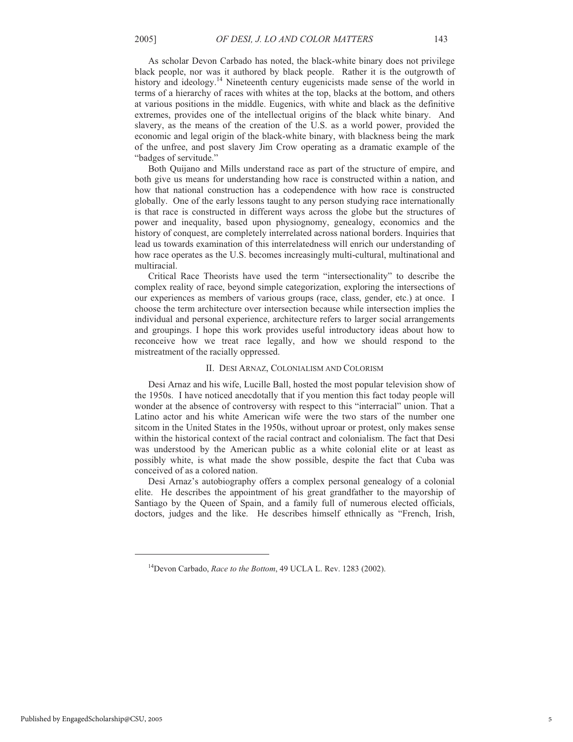As scholar Devon Carbado has noted, the black-white binary does not privilege black people, nor was it authored by black people. Rather it is the outgrowth of history and ideology.<sup>14</sup> Nineteenth century eugenicists made sense of the world in terms of a hierarchy of races with whites at the top, blacks at the bottom, and others at various positions in the middle. Eugenics, with white and black as the definitive extremes, provides one of the intellectual origins of the black white binary. And slavery, as the means of the creation of the U.S. as a world power, provided the economic and legal origin of the black-white binary, with blackness being the mark of the unfree, and post slavery Jim Crow operating as a dramatic example of the "badges of servitude."

Both Quijano and Mills understand race as part of the structure of empire, and both give us means for understanding how race is constructed within a nation, and how that national construction has a codependence with how race is constructed globally. One of the early lessons taught to any person studying race internationally is that race is constructed in different ways across the globe but the structures of power and inequality, based upon physiognomy, genealogy, economics and the history of conquest, are completely interrelated across national borders. Inquiries that lead us towards examination of this interrelatedness will enrich our understanding of how race operates as the U.S. becomes increasingly multi-cultural, multinational and multiracial.

Critical Race Theorists have used the term "intersectionality" to describe the complex reality of race, beyond simple categorization, exploring the intersections of our experiences as members of various groups (race, class, gender, etc.) at once. I choose the term architecture over intersection because while intersection implies the individual and personal experience, architecture refers to larger social arrangements and groupings. I hope this work provides useful introductory ideas about how to reconceive how we treat race legally, and how we should respond to the mistreatment of the racially oppressed.

#### II. DESI ARNAZ, COLONIALISM AND COLORISM

Desi Arnaz and his wife, Lucille Ball, hosted the most popular television show of the 1950s. I have noticed anecdotally that if you mention this fact today people will wonder at the absence of controversy with respect to this "interracial" union. That a Latino actor and his white American wife were the two stars of the number one sitcom in the United States in the 1950s, without uproar or protest, only makes sense within the historical context of the racial contract and colonialism. The fact that Desi was understood by the American public as a white colonial elite or at least as possibly white, is what made the show possible, despite the fact that Cuba was conceived of as a colored nation.

Desi Arnaz's autobiography offers a complex personal genealogy of a colonial elite. He describes the appointment of his great grandfather to the mayorship of Santiago by the Queen of Spain, and a family full of numerous elected officials, doctors, judges and the like. He describes himself ethnically as "French, Irish,

<sup>14</sup>Devon Carbado, *Race to the Bottom*, 49 UCLA L. Rev. 1283 (2002).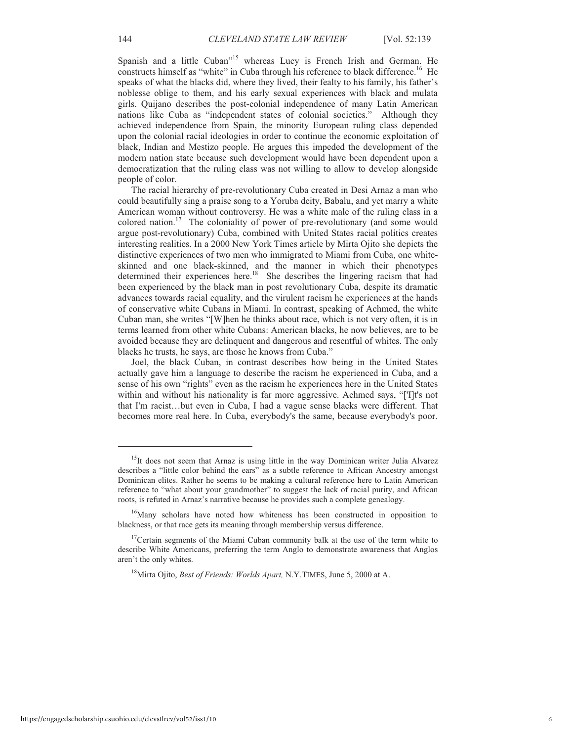Spanish and a little Cuban"<sup>15</sup> whereas Lucy is French Irish and German. He constructs himself as "white" in Cuba through his reference to black difference.<sup>16</sup> He speaks of what the blacks did, where they lived, their fealty to his family, his father's noblesse oblige to them, and his early sexual experiences with black and mulata girls. Quijano describes the post-colonial independence of many Latin American nations like Cuba as "independent states of colonial societies." Although they achieved independence from Spain, the minority European ruling class depended upon the colonial racial ideologies in order to continue the economic exploitation of black, Indian and Mestizo people. He argues this impeded the development of the modern nation state because such development would have been dependent upon a democratization that the ruling class was not willing to allow to develop alongside people of color.

The racial hierarchy of pre-revolutionary Cuba created in Desi Arnaz a man who could beautifully sing a praise song to a Yoruba deity, Babalu, and yet marry a white American woman without controversy. He was a white male of the ruling class in a colored nation.<sup>17</sup> The coloniality of power of pre-revolutionary (and some would argue post-revolutionary) Cuba, combined with United States racial politics creates interesting realities. In a 2000 New York Times article by Mirta Ojito she depicts the distinctive experiences of two men who immigrated to Miami from Cuba, one whiteskinned and one black-skinned, and the manner in which their phenotypes determined their experiences here.<sup>18</sup> She describes the lingering racism that had been experienced by the black man in post revolutionary Cuba, despite its dramatic advances towards racial equality, and the virulent racism he experiences at the hands of conservative white Cubans in Miami. In contrast, speaking of Achmed, the white Cuban man, she writes "[W]hen he thinks about race, which is not very often, it is in terms learned from other white Cubans: American blacks, he now believes, are to be avoided because they are delinquent and dangerous and resentful of whites. The only blacks he trusts, he says, are those he knows from Cuba."

Joel, the black Cuban, in contrast describes how being in the United States actually gave him a language to describe the racism he experienced in Cuba, and a sense of his own "rights" even as the racism he experiences here in the United States within and without his nationality is far more aggressive. Achmed says, "['I]t's not that I'm racist…but even in Cuba, I had a vague sense blacks were different. That becomes more real here. In Cuba, everybody's the same, because everybody's poor.

<sup>18</sup>Mirta Ojito, *Best of Friends: Worlds Apart,* N.Y.TIMES, June 5, 2000 at A.

<sup>&</sup>lt;sup>15</sup>It does not seem that Arnaz is using little in the way Dominican writer Julia Alvarez describes a "little color behind the ears" as a subtle reference to African Ancestry amongst Dominican elites. Rather he seems to be making a cultural reference here to Latin American reference to "what about your grandmother" to suggest the lack of racial purity, and African roots, is refuted in Arnaz's narrative because he provides such a complete genealogy.

<sup>&</sup>lt;sup>16</sup>Many scholars have noted how whiteness has been constructed in opposition to blackness, or that race gets its meaning through membership versus difference.

<sup>&</sup>lt;sup>17</sup>Certain segments of the Miami Cuban community balk at the use of the term white to describe White Americans, preferring the term Anglo to demonstrate awareness that Anglos aren't the only whites.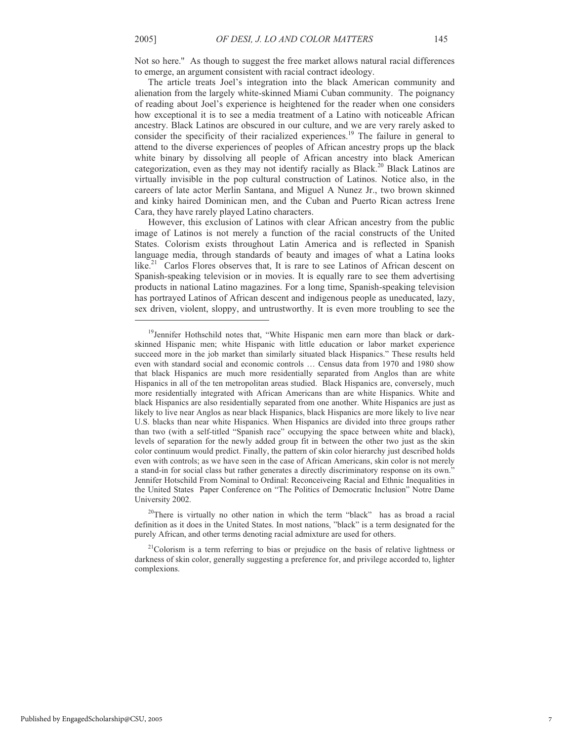.

Not so here.'' As though to suggest the free market allows natural racial differences to emerge, an argument consistent with racial contract ideology.

The article treats Joel's integration into the black American community and alienation from the largely white-skinned Miami Cuban community. The poignancy of reading about Joel's experience is heightened for the reader when one considers how exceptional it is to see a media treatment of a Latino with noticeable African ancestry. Black Latinos are obscured in our culture, and we are very rarely asked to consider the specificity of their racialized experiences.<sup>19</sup> The failure in general to attend to the diverse experiences of peoples of African ancestry props up the black white binary by dissolving all people of African ancestry into black American categorization, even as they may not identify racially as Black.<sup>20</sup> Black Latinos are virtually invisible in the pop cultural construction of Latinos. Notice also, in the careers of late actor Merlin Santana, and Miguel A Nunez Jr., two brown skinned and kinky haired Dominican men, and the Cuban and Puerto Rican actress Irene Cara, they have rarely played Latino characters.

However, this exclusion of Latinos with clear African ancestry from the public image of Latinos is not merely a function of the racial constructs of the United States. Colorism exists throughout Latin America and is reflected in Spanish language media, through standards of beauty and images of what a Latina looks like.<sup>21</sup> Carlos Flores observes that, It is rare to see Latinos of African descent on Spanish-speaking television or in movies. It is equally rare to see them advertising products in national Latino magazines. For a long time, Spanish-speaking television has portrayed Latinos of African descent and indigenous people as uneducated, lazy, sex driven, violent, sloppy, and untrustworthy. It is even more troubling to see the

<sup>20</sup>There is virtually no other nation in which the term "black" has as broad a racial definition as it does in the United States. In most nations, "black" is a term designated for the purely African, and other terms denoting racial admixture are used for others.

 $21$ Colorism is a term referring to bias or prejudice on the basis of relative lightness or darkness of skin color, generally suggesting a preference for, and privilege accorded to, lighter complexions.

<sup>&</sup>lt;sup>19</sup>Jennifer Hothschild notes that, "White Hispanic men earn more than black or darkskinned Hispanic men; white Hispanic with little education or labor market experience succeed more in the job market than similarly situated black Hispanics." These results held even with standard social and economic controls … Census data from 1970 and 1980 show that black Hispanics are much more residentially separated from Anglos than are white Hispanics in all of the ten metropolitan areas studied. Black Hispanics are, conversely, much more residentially integrated with African Americans than are white Hispanics. White and black Hispanics are also residentially separated from one another. White Hispanics are just as likely to live near Anglos as near black Hispanics, black Hispanics are more likely to live near U.S. blacks than near white Hispanics. When Hispanics are divided into three groups rather than two (with a self-titled "Spanish race" occupying the space between white and black), levels of separation for the newly added group fit in between the other two just as the skin color continuum would predict. Finally, the pattern of skin color hierarchy just described holds even with controls; as we have seen in the case of African Americans, skin color is not merely a stand-in for social class but rather generates a directly discriminatory response on its own." Jennifer Hotschild From Nominal to Ordinal: Reconceiveing Racial and Ethnic Inequalities in the United States Paper Conference on "The Politics of Democratic Inclusion" Notre Dame University 2002.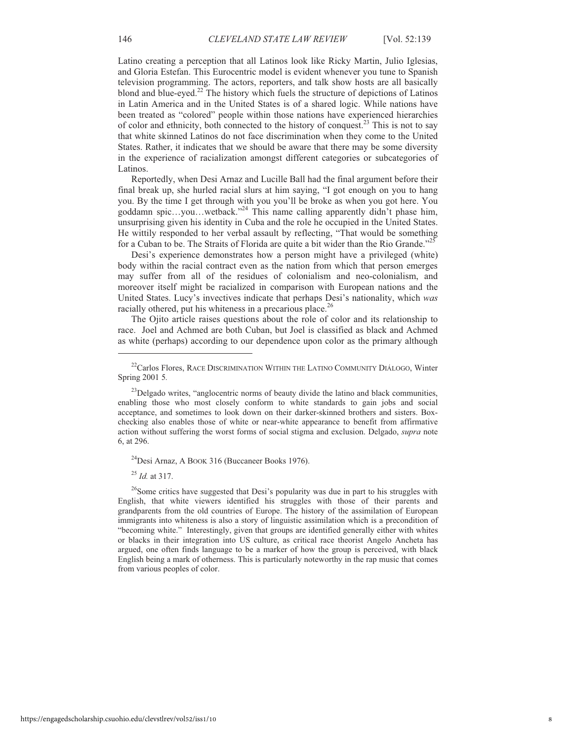Latino creating a perception that all Latinos look like Ricky Martin, Julio Iglesias, and Gloria Estefan. This Eurocentric model is evident whenever you tune to Spanish television programming. The actors, reporters, and talk show hosts are all basically blond and blue-eyed.<sup>22</sup> The history which fuels the structure of depictions of Latinos in Latin America and in the United States is of a shared logic. While nations have been treated as "colored" people within those nations have experienced hierarchies of color and ethnicity, both connected to the history of conquest.<sup>23</sup> This is not to say that white skinned Latinos do not face discrimination when they come to the United States. Rather, it indicates that we should be aware that there may be some diversity in the experience of racialization amongst different categories or subcategories of Latinos.

Reportedly, when Desi Arnaz and Lucille Ball had the final argument before their final break up, she hurled racial slurs at him saying, "I got enough on you to hang you. By the time I get through with you you'll be broke as when you got here. You goddamn spic…you…wetback."<sup>24</sup> This name calling apparently didn't phase him, unsurprising given his identity in Cuba and the role he occupied in the United States. He wittily responded to her verbal assault by reflecting, "That would be something for a Cuban to be. The Straits of Florida are quite a bit wider than the Rio Grande."<sup>25</sup>

Desi's experience demonstrates how a person might have a privileged (white) body within the racial contract even as the nation from which that person emerges may suffer from all of the residues of colonialism and neo-colonialism, and moreover itself might be racialized in comparison with European nations and the United States. Lucy's invectives indicate that perhaps Desi's nationality, which *was* racially othered, put his whiteness in a precarious place.<sup>26</sup>

The Ojito article raises questions about the role of color and its relationship to race. Joel and Achmed are both Cuban, but Joel is classified as black and Achmed as white (perhaps) according to our dependence upon color as the primary although

 $^{24}$ Desi Arnaz, A BOOK 316 (Buccaneer Books 1976).

<sup>25</sup> *Id.* at 317.

.

<sup>26</sup>Some critics have suggested that Desi's popularity was due in part to his struggles with English, that white viewers identified his struggles with those of their parents and grandparents from the old countries of Europe. The history of the assimilation of European immigrants into whiteness is also a story of linguistic assimilation which is a precondition of "becoming white." Interestingly, given that groups are identified generally either with whites or blacks in their integration into US culture, as critical race theorist Angelo Ancheta has argued, one often finds language to be a marker of how the group is perceived, with black English being a mark of otherness. This is particularly noteworthy in the rap music that comes from various peoples of color.

<sup>&</sup>lt;sup>22</sup>Carlos Flores, RACE DISCRIMINATION WITHIN THE LATINO COMMUNITY DIÁLOGO, Winter Spring 2001 5*.*

 $^{23}$ Delgado writes, "anglocentric norms of beauty divide the latino and black communities, enabling those who most closely conform to white standards to gain jobs and social acceptance, and sometimes to look down on their darker-skinned brothers and sisters. Boxchecking also enables those of white or near-white appearance to benefit from affirmative action without suffering the worst forms of social stigma and exclusion. Delgado, *supra* note 6, at 296.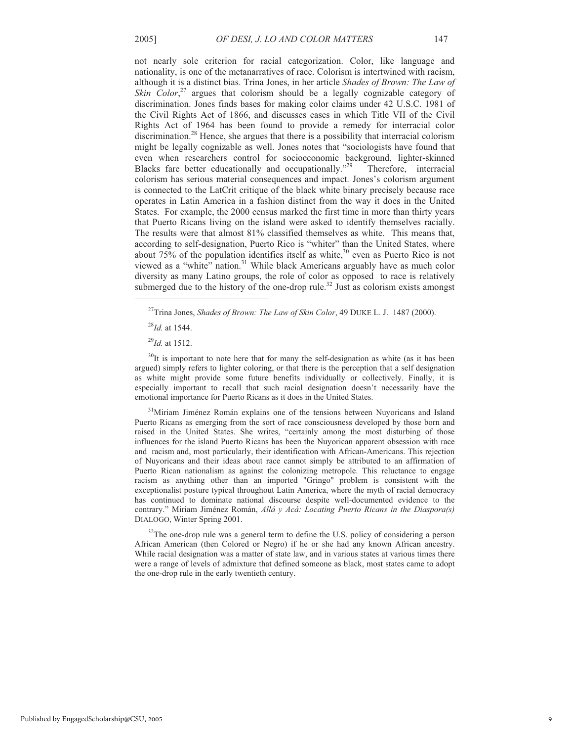not nearly sole criterion for racial categorization. Color, like language and nationality, is one of the metanarratives of race. Colorism is intertwined with racism, although it is a distinct bias. Trina Jones, in her article *Shades of Brown: The Law of*  Skin Color,<sup>27</sup> argues that colorism should be a legally cognizable category of discrimination. Jones finds bases for making color claims under 42 U.S.C. 1981 of the Civil Rights Act of 1866, and discusses cases in which Title VII of the Civil Rights Act of 1964 has been found to provide a remedy for interracial color discrimination.<sup>28</sup> Hence, she argues that there is a possibility that interracial colorism might be legally cognizable as well. Jones notes that "sociologists have found that even when researchers control for socioeconomic background, lighter-skinned Blacks fare better educationally and occupationally."<sup>29</sup> Therefore, interracial colorism has serious material consequences and impact. Jones's colorism argument is connected to the LatCrit critique of the black white binary precisely because race operates in Latin America in a fashion distinct from the way it does in the United States. For example, the 2000 census marked the first time in more than thirty years that Puerto Ricans living on the island were asked to identify themselves racially. The results were that almost 81% classified themselves as white. This means that, according to self-designation, Puerto Rico is "whiter" than the United States, where about  $75\%$  of the population identifies itself as white,<sup>30</sup> even as Puerto Rico is not viewed as a "white" nation.<sup>31</sup> While black Americans arguably have as much color diversity as many Latino groups, the role of color as opposed to race is relatively submerged due to the history of the one-drop rule.<sup>32</sup> Just as colorism exists amongst

.

 $30$ It is important to note here that for many the self-designation as white (as it has been argued) simply refers to lighter coloring, or that there is the perception that a self designation as white might provide some future benefits individually or collectively. Finally, it is especially important to recall that such racial designation doesn't necessarily have the emotional importance for Puerto Ricans as it does in the United States.

<sup>31</sup>Miriam Jiménez Román explains one of the tensions between Nuyoricans and Island Puerto Ricans as emerging from the sort of race consciousness developed by those born and raised in the United States. She writes, "certainly among the most disturbing of those influences for the island Puerto Ricans has been the Nuyorican apparent obsession with race and racism and, most particularly, their identification with African-Americans. This rejection of Nuyoricans and their ideas about race cannot simply be attributed to an affirmation of Puerto Rican nationalism as against the colonizing metropole. This reluctance to engage racism as anything other than an imported "Gringo" problem is consistent with the exceptionalist posture typical throughout Latin America, where the myth of racial democracy has continued to dominate national discourse despite well-documented evidence to the contrary." Miriam Jiménez Román, *Allá y Acá: Locating Puerto Ricans in the Diaspora(s)* DIALOGO, Winter Spring 2001.

 $32$ The one-drop rule was a general term to define the U.S. policy of considering a person African American (then Colored or Negro) if he or she had any known African ancestry. While racial designation was a matter of state law, and in various states at various times there were a range of levels of admixture that defined someone as black, most states came to adopt the one-drop rule in the early twentieth century.

<sup>27</sup>Trina Jones, *Shades of Brown: The Law of Skin Color*, 49 DUKE L. J. 1487 (2000).

<sup>28</sup>*Id.* at 1544.

<sup>29</sup>*Id.* at 1512.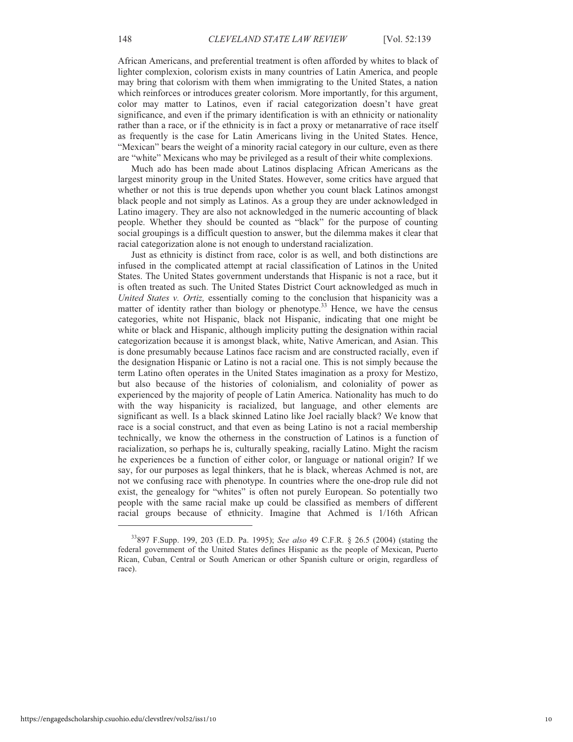African Americans, and preferential treatment is often afforded by whites to black of lighter complexion, colorism exists in many countries of Latin America, and people may bring that colorism with them when immigrating to the United States, a nation which reinforces or introduces greater colorism. More importantly, for this argument, color may matter to Latinos, even if racial categorization doesn't have great significance, and even if the primary identification is with an ethnicity or nationality rather than a race, or if the ethnicity is in fact a proxy or metanarrative of race itself as frequently is the case for Latin Americans living in the United States. Hence, "Mexican" bears the weight of a minority racial category in our culture, even as there are "white" Mexicans who may be privileged as a result of their white complexions.

Much ado has been made about Latinos displacing African Americans as the largest minority group in the United States. However, some critics have argued that whether or not this is true depends upon whether you count black Latinos amongst black people and not simply as Latinos. As a group they are under acknowledged in Latino imagery. They are also not acknowledged in the numeric accounting of black people. Whether they should be counted as "black" for the purpose of counting social groupings is a difficult question to answer, but the dilemma makes it clear that racial categorization alone is not enough to understand racialization.

Just as ethnicity is distinct from race, color is as well, and both distinctions are infused in the complicated attempt at racial classification of Latinos in the United States. The United States government understands that Hispanic is not a race, but it is often treated as such. The United States District Court acknowledged as much in *United States v. Ortiz,* essentially coming to the conclusion that hispanicity was a matter of identity rather than biology or phenotype.<sup>33</sup> Hence, we have the census categories, white not Hispanic, black not Hispanic, indicating that one might be white or black and Hispanic, although implicity putting the designation within racial categorization because it is amongst black, white, Native American, and Asian. This is done presumably because Latinos face racism and are constructed racially, even if the designation Hispanic or Latino is not a racial one. This is not simply because the term Latino often operates in the United States imagination as a proxy for Mestizo, but also because of the histories of colonialism, and coloniality of power as experienced by the majority of people of Latin America. Nationality has much to do with the way hispanicity is racialized, but language, and other elements are significant as well. Is a black skinned Latino like Joel racially black? We know that race is a social construct, and that even as being Latino is not a racial membership technically, we know the otherness in the construction of Latinos is a function of racialization, so perhaps he is, culturally speaking, racially Latino. Might the racism he experiences be a function of either color, or language or national origin? If we say, for our purposes as legal thinkers, that he is black, whereas Achmed is not, are not we confusing race with phenotype. In countries where the one-drop rule did not exist, the genealogy for "whites" is often not purely European. So potentially two people with the same racial make up could be classified as members of different racial groups because of ethnicity. Imagine that Achmed is 1/16th African

<sup>33</sup>897 F.Supp. 199, 203 (E.D. Pa. 1995); *See also* 49 C.F.R. § 26.5 (2004) (stating the federal government of the United States defines Hispanic as the people of Mexican, Puerto Rican, Cuban, Central or South American or other Spanish culture or origin, regardless of race).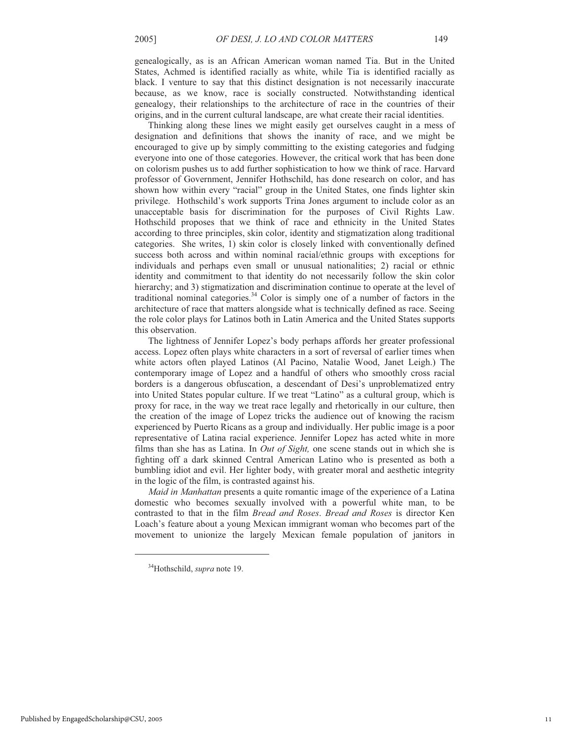genealogically, as is an African American woman named Tia. But in the United States, Achmed is identified racially as white, while Tia is identified racially as black. I venture to say that this distinct designation is not necessarily inaccurate because, as we know, race is socially constructed. Notwithstanding identical genealogy, their relationships to the architecture of race in the countries of their origins, and in the current cultural landscape, are what create their racial identities.

Thinking along these lines we might easily get ourselves caught in a mess of designation and definitions that shows the inanity of race, and we might be encouraged to give up by simply committing to the existing categories and fudging everyone into one of those categories. However, the critical work that has been done on colorism pushes us to add further sophistication to how we think of race. Harvard professor of Government, Jennifer Hothschild, has done research on color, and has shown how within every "racial" group in the United States, one finds lighter skin privilege. Hothschild's work supports Trina Jones argument to include color as an unacceptable basis for discrimination for the purposes of Civil Rights Law. Hothschild proposes that we think of race and ethnicity in the United States according to three principles, skin color, identity and stigmatization along traditional categories. She writes, 1) skin color is closely linked with conventionally defined success both across and within nominal racial/ethnic groups with exceptions for individuals and perhaps even small or unusual nationalities; 2) racial or ethnic identity and commitment to that identity do not necessarily follow the skin color hierarchy; and 3) stigmatization and discrimination continue to operate at the level of traditional nominal categories. $34$  Color is simply one of a number of factors in the architecture of race that matters alongside what is technically defined as race. Seeing the role color plays for Latinos both in Latin America and the United States supports this observation.

The lightness of Jennifer Lopez's body perhaps affords her greater professional access. Lopez often plays white characters in a sort of reversal of earlier times when white actors often played Latinos (Al Pacino, Natalie Wood, Janet Leigh.) The contemporary image of Lopez and a handful of others who smoothly cross racial borders is a dangerous obfuscation, a descendant of Desi's unproblematized entry into United States popular culture. If we treat "Latino" as a cultural group, which is proxy for race, in the way we treat race legally and rhetorically in our culture, then the creation of the image of Lopez tricks the audience out of knowing the racism experienced by Puerto Ricans as a group and individually. Her public image is a poor representative of Latina racial experience. Jennifer Lopez has acted white in more films than she has as Latina. In *Out of Sight,* one scene stands out in which she is fighting off a dark skinned Central American Latino who is presented as both a bumbling idiot and evil. Her lighter body, with greater moral and aesthetic integrity in the logic of the film, is contrasted against his.

*Maid in Manhattan* presents a quite romantic image of the experience of a Latina domestic who becomes sexually involved with a powerful white man, to be contrasted to that in the film *Bread and Roses*. *Bread and Roses* is director Ken Loach's feature about a young Mexican immigrant woman who becomes part of the movement to unionize the largely Mexican female population of janitors in

<sup>34</sup>Hothschild, *supra* note 19.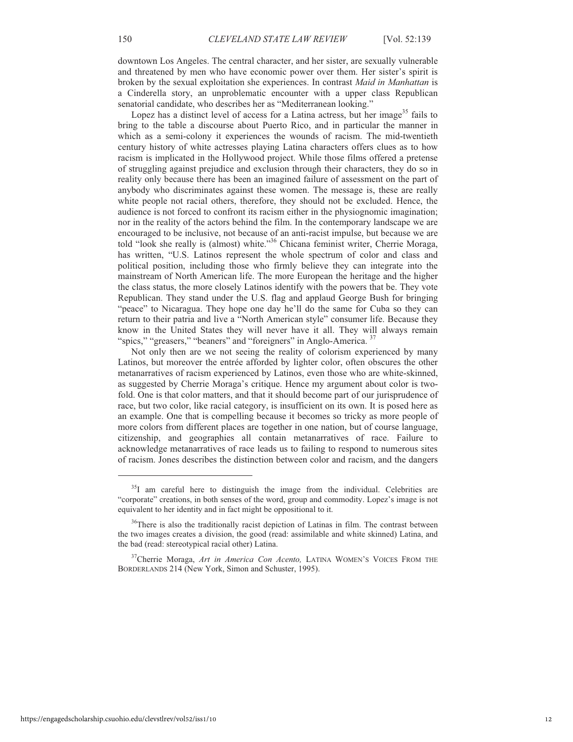downtown Los Angeles. The central character, and her sister, are sexually vulnerable and threatened by men who have economic power over them. Her sister's spirit is broken by the sexual exploitation she experiences. In contrast *Maid in Manhattan* is a Cinderella story, an unproblematic encounter with a upper class Republican senatorial candidate, who describes her as "Mediterranean looking."

Lopez has a distinct level of access for a Latina actress, but her image<sup>35</sup> fails to bring to the table a discourse about Puerto Rico, and in particular the manner in which as a semi-colony it experiences the wounds of racism. The mid-twentieth century history of white actresses playing Latina characters offers clues as to how racism is implicated in the Hollywood project. While those films offered a pretense of struggling against prejudice and exclusion through their characters, they do so in reality only because there has been an imagined failure of assessment on the part of anybody who discriminates against these women. The message is, these are really white people not racial others, therefore, they should not be excluded. Hence, the audience is not forced to confront its racism either in the physiognomic imagination; nor in the reality of the actors behind the film. In the contemporary landscape we are encouraged to be inclusive, not because of an anti-racist impulse, but because we are told "look she really is (almost) white."<sup>36</sup> Chicana feminist writer, Cherrie Moraga, has written, "U.S. Latinos represent the whole spectrum of color and class and political position, including those who firmly believe they can integrate into the mainstream of North American life. The more European the heritage and the higher the class status, the more closely Latinos identify with the powers that be. They vote Republican. They stand under the U.S. flag and applaud George Bush for bringing "peace" to Nicaragua. They hope one day he'll do the same for Cuba so they can return to their patria and live a "North American style" consumer life. Because they know in the United States they will never have it all. They will always remain "spics," "greasers," "beaners" and "foreigners" in Anglo-America. <sup>37</sup>

Not only then are we not seeing the reality of colorism experienced by many Latinos, but moreover the entrée afforded by lighter color, often obscures the other metanarratives of racism experienced by Latinos, even those who are white-skinned, as suggested by Cherrie Moraga's critique. Hence my argument about color is twofold. One is that color matters, and that it should become part of our jurisprudence of race, but two color, like racial category, is insufficient on its own. It is posed here as an example. One that is compelling because it becomes so tricky as more people of more colors from different places are together in one nation, but of course language, citizenship, and geographies all contain metanarratives of race. Failure to acknowledge metanarratives of race leads us to failing to respond to numerous sites of racism. Jones describes the distinction between color and racism, and the dangers

 $35I$  am careful here to distinguish the image from the individual. Celebrities are "corporate" creations, in both senses of the word, group and commodity. Lopez's image is not equivalent to her identity and in fact might be oppositional to it.

<sup>&</sup>lt;sup>36</sup>There is also the traditionally racist depiction of Latinas in film. The contrast between the two images creates a division, the good (read: assimilable and white skinned) Latina, and the bad (read: stereotypical racial other) Latina.

<sup>37</sup>Cherrie Moraga, *Art in America Con Acento,* LATINA WOMEN'<sup>S</sup> VOICES FROM THE BORDERLANDS 214 (New York, Simon and Schuster, 1995).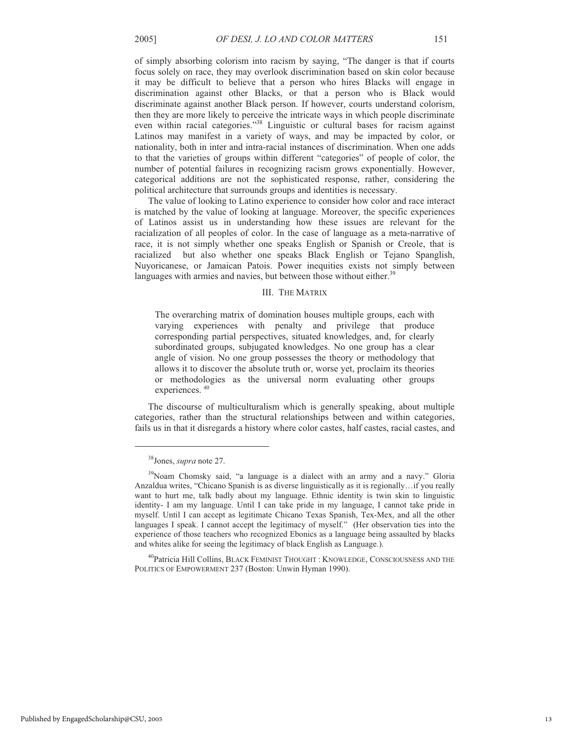of simply absorbing colorism into racism by saying, "The danger is that if courts focus solely on race, they may overlook discrimination based on skin color because it may be difficult to believe that a person who hires Blacks will engage in discrimination against other Blacks, or that a person who is Black would discriminate against another Black person. If however, courts understand colorism, then they are more likely to perceive the intricate ways in which people discriminate even within racial categories."<sup>38</sup> Linguistic or cultural bases for racism against Latinos may manifest in a variety of ways, and may be impacted by color, or nationality, both in inter and intra-racial instances of discrimination. When one adds to that the varieties of groups within different "categories" of people of color, the number of potential failures in recognizing racism grows exponentially. However, categorical additions are not the sophisticated response, rather, considering the political architecture that surrounds groups and identities is necessary.

The value of looking to Latino experience to consider how color and race interact is matched by the value of looking at language. Moreover, the specific experiences of Latinos assist us in understanding how these issues are relevant for the racialization of all peoples of color. In the case of language as a meta-narrative of race, it is not simply whether one speaks English or Spanish or Creole, that is racialized but also whether one speaks Black English or Tejano Spanglish, Nuyoricanese, or Jamaican Patois. Power inequities exists not simply between languages with armies and navies, but between those without either.<sup>39</sup>

## III. THE MATRIX

The overarching matrix of domination houses multiple groups, each with varying experiences with penalty and privilege that produce corresponding partial perspectives, situated knowledges, and, for clearly subordinated groups, subjugated knowledges. No one group has a clear angle of vision. No one group possesses the theory or methodology that allows it to discover the absolute truth or, worse yet, proclaim its theories or methodologies as the universal norm evaluating other groups experiences.  $40$ 

The discourse of multiculturalism which is generally speaking, about multiple categories, rather than the structural relationships between and within categories, fails us in that it disregards a history where color castes, half castes, racial castes, and

.

<sup>40</sup>Patricia Hill Collins, BLACK FEMINIST THOUGHT : KNOWLEDGE, CONSCIOUSNESS AND THE POLITICS OF EMPOWERMENT 237 (Boston: Unwin Hyman 1990).

<sup>38</sup>Jones, *supra* note 27.

<sup>&</sup>lt;sup>39</sup>Noam Chomsky said, "a language is a dialect with an army and a navy." Gloria Anzaldua writes, "Chicano Spanish is as diverse linguistically as it is regionally…if you really want to hurt me, talk badly about my language. Ethnic identity is twin skin to linguistic identity- I am my language. Until I can take pride in my language, I cannot take pride in myself. Until I can accept as legitimate Chicano Texas Spanish, Tex-Mex, and all the other languages I speak. I cannot accept the legitimacy of myself." (Her observation ties into the experience of those teachers who recognized Ebonics as a language being assaulted by blacks and whites alike for seeing the legitimacy of black English as Language.).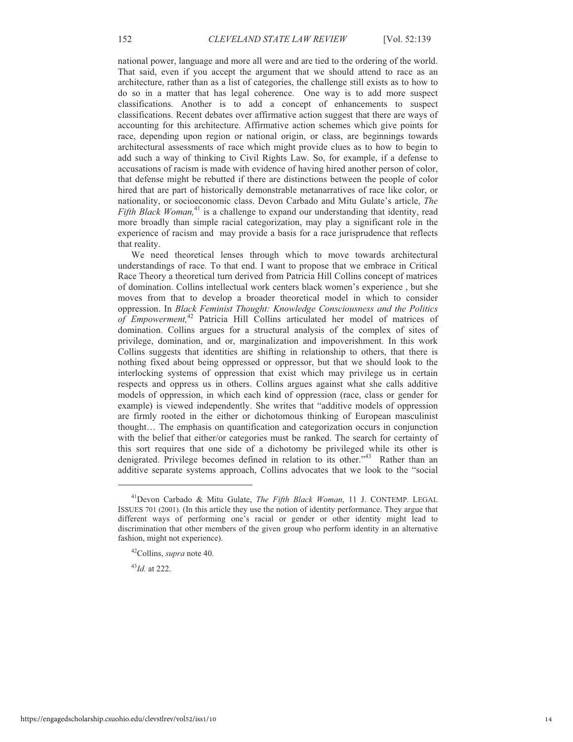national power, language and more all were and are tied to the ordering of the world. That said, even if you accept the argument that we should attend to race as an architecture, rather than as a list of categories, the challenge still exists as to how to do so in a matter that has legal coherence. One way is to add more suspect classifications. Another is to add a concept of enhancements to suspect classifications. Recent debates over affirmative action suggest that there are ways of accounting for this architecture. Affirmative action schemes which give points for race, depending upon region or national origin, or class, are beginnings towards architectural assessments of race which might provide clues as to how to begin to add such a way of thinking to Civil Rights Law. So, for example, if a defense to accusations of racism is made with evidence of having hired another person of color, that defense might be rebutted if there are distinctions between the people of color hired that are part of historically demonstrable metanarratives of race like color, or nationality, or socioeconomic class. Devon Carbado and Mitu Gulate's article, *The* Fifth Black Woman,<sup>41</sup> is a challenge to expand our understanding that identity, read more broadly than simple racial categorization, may play a significant role in the experience of racism and may provide a basis for a race jurisprudence that reflects that reality.

We need theoretical lenses through which to move towards architectural understandings of race. To that end. I want to propose that we embrace in Critical Race Theory a theoretical turn derived from Patricia Hill Collins concept of matrices of domination. Collins intellectual work centers black women's experience , but she moves from that to develop a broader theoretical model in which to consider oppression. In *Black Feminist Thought: Knowledge Consciousness and the Politics of Empowerment,*<sup>42</sup> Patricia Hill Collins articulated her model of matrices of domination. Collins argues for a structural analysis of the complex of sites of privilege, domination, and or, marginalization and impoverishment. In this work Collins suggests that identities are shifting in relationship to others, that there is nothing fixed about being oppressed or oppressor, but that we should look to the interlocking systems of oppression that exist which may privilege us in certain respects and oppress us in others. Collins argues against what she calls additive models of oppression, in which each kind of oppression (race, class or gender for example) is viewed independently. She writes that "additive models of oppression are firmly rooted in the either or dichotomous thinking of European masculinist thought… The emphasis on quantification and categorization occurs in conjunction with the belief that either/or categories must be ranked. The search for certainty of this sort requires that one side of a dichotomy be privileged while its other is denigrated. Privilege becomes defined in relation to its other."<sup>43</sup> Rather than an additive separate systems approach, Collins advocates that we look to the "social

<sup>43</sup>*Id.* at 222.

<sup>41</sup>Devon Carbado & Mitu Gulate, *The Fifth Black Woman*, 11 J. CONTEMP. LEGAL ISSUES 701 (2001). (In this article they use the notion of identity performance. They argue that different ways of performing one's racial or gender or other identity might lead to discrimination that other members of the given group who perform identity in an alternative fashion, might not experience).

<sup>42</sup>Collins, *supra* note 40.